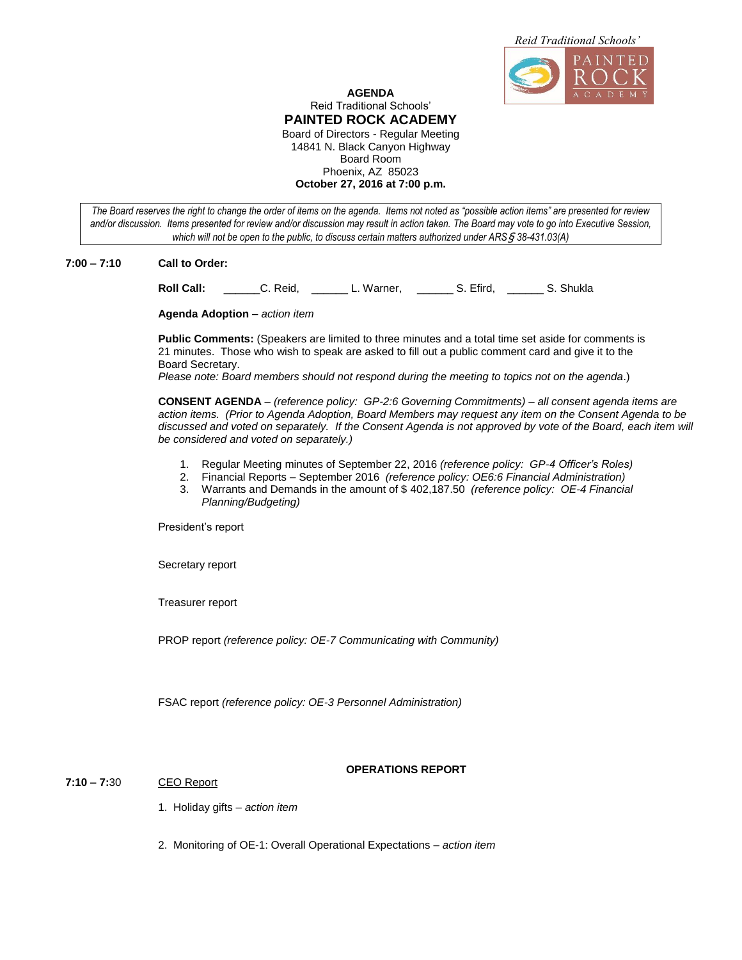

#### **AGENDA** Reid Traditional Schools' **PAINTED ROCK ACADEMY** Board of Directors - Regular Meeting 14841 N. Black Canyon Highway Board Room Phoenix, AZ 85023 **October 27, 2016 at 7:00 p.m.**

*The Board reserves the right to change the order of items on the agenda. Items not noted as "possible action items" are presented for review and/or discussion. Items presented for review and/or discussion may result in action taken. The Board may vote to go into Executive Session, which will not be open to the public, to discuss certain matters authorized under ARS*§ *38-431.03(A)*

#### **7:00 – 7:10 Call to Order:**

**Roll Call:** \_\_\_\_\_\_C. Reid, \_\_\_\_\_\_ L. Warner, \_\_\_\_\_\_ S. Efird, \_\_\_\_\_\_ S. Shukla

**Agenda Adoption** – *action item*

**Public Comments:** (Speakers are limited to three minutes and a total time set aside for comments is 21 minutes. Those who wish to speak are asked to fill out a public comment card and give it to the Board Secretary.

*Please note: Board members should not respond during the meeting to topics not on the agenda*.)

**CONSENT AGENDA** – *(reference policy: GP-2:6 Governing Commitments)* – *all consent agenda items are action items. (Prior to Agenda Adoption, Board Members may request any item on the Consent Agenda to be discussed and voted on separately. If the Consent Agenda is not approved by vote of the Board, each item will be considered and voted on separately.)* 

- 1. Regular Meeting minutes of September 22, 2016 *(reference policy: GP-4 Officer's Roles)*
- 2. Financial Reports September 2016 *(reference policy: OE6:6 Financial Administration)*
- 3. Warrants and Demands in the amount of \$ 402,187.50 *(reference policy: OE-4 Financial Planning/Budgeting)*

President's report

Secretary report

Treasurer report

PROP report *(reference policy: OE-7 Communicating with Community)*

FSAC report *(reference policy: OE-3 Personnel Administration)*

# **7:10 – 7:**30 CEO Report

#### **OPERATIONS REPORT**

1. Holiday gifts *– action item*

2. Monitoring of OE-1: Overall Operational Expectations – *action item*